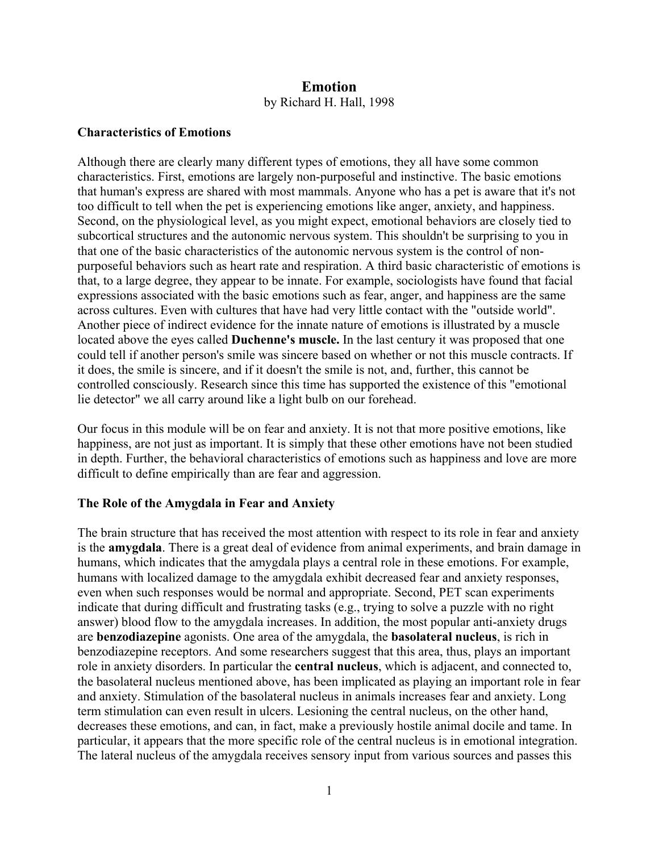# **Emotion**  by Richard H. Hall, 1998

### **Characteristics of Emotions**

Although there are clearly many different types of emotions, they all have some common characteristics. First, emotions are largely non-purposeful and instinctive. The basic emotions that human's express are shared with most mammals. Anyone who has a pet is aware that it's not too difficult to tell when the pet is experiencing emotions like anger, anxiety, and happiness. Second, on the physiological level, as you might expect, emotional behaviors are closely tied to subcortical structures and the autonomic nervous system. This shouldn't be surprising to you in that one of the basic characteristics of the autonomic nervous system is the control of nonpurposeful behaviors such as heart rate and respiration. A third basic characteristic of emotions is that, to a large degree, they appear to be innate. For example, sociologists have found that facial expressions associated with the basic emotions such as fear, anger, and happiness are the same across cultures. Even with cultures that have had very little contact with the "outside world". Another piece of indirect evidence for the innate nature of emotions is illustrated by a muscle located above the eyes called **Duchenne's muscle.** In the last century it was proposed that one could tell if another person's smile was sincere based on whether or not this muscle contracts. If it does, the smile is sincere, and if it doesn't the smile is not, and, further, this cannot be controlled consciously. Research since this time has supported the existence of this "emotional lie detector" we all carry around like a light bulb on our forehead.

Our focus in this module will be on fear and anxiety. It is not that more positive emotions, like happiness, are not just as important. It is simply that these other emotions have not been studied in depth. Further, the behavioral characteristics of emotions such as happiness and love are more difficult to define empirically than are fear and aggression.

#### **The Role of the Amygdala in Fear and Anxiety**

The brain structure that has received the most attention with respect to its role in fear and anxiety is the **amygdala**. There is a great deal of evidence from animal experiments, and brain damage in humans, which indicates that the amygdala plays a central role in these emotions. For example, humans with localized damage to the amygdala exhibit decreased fear and anxiety responses, even when such responses would be normal and appropriate. Second, PET scan experiments indicate that during difficult and frustrating tasks (e.g., trying to solve a puzzle with no right answer) blood flow to the amygdala increases. In addition, the most popular anti-anxiety drugs are **benzodiazepine** agonists. One area of the amygdala, the **basolateral nucleus**, is rich in benzodiazepine receptors. And some researchers suggest that this area, thus, plays an important role in anxiety disorders. In particular the **central nucleus**, which is adjacent, and connected to, the basolateral nucleus mentioned above, has been implicated as playing an important role in fear and anxiety. Stimulation of the basolateral nucleus in animals increases fear and anxiety. Long term stimulation can even result in ulcers. Lesioning the central nucleus, on the other hand, decreases these emotions, and can, in fact, make a previously hostile animal docile and tame. In particular, it appears that the more specific role of the central nucleus is in emotional integration. The lateral nucleus of the amygdala receives sensory input from various sources and passes this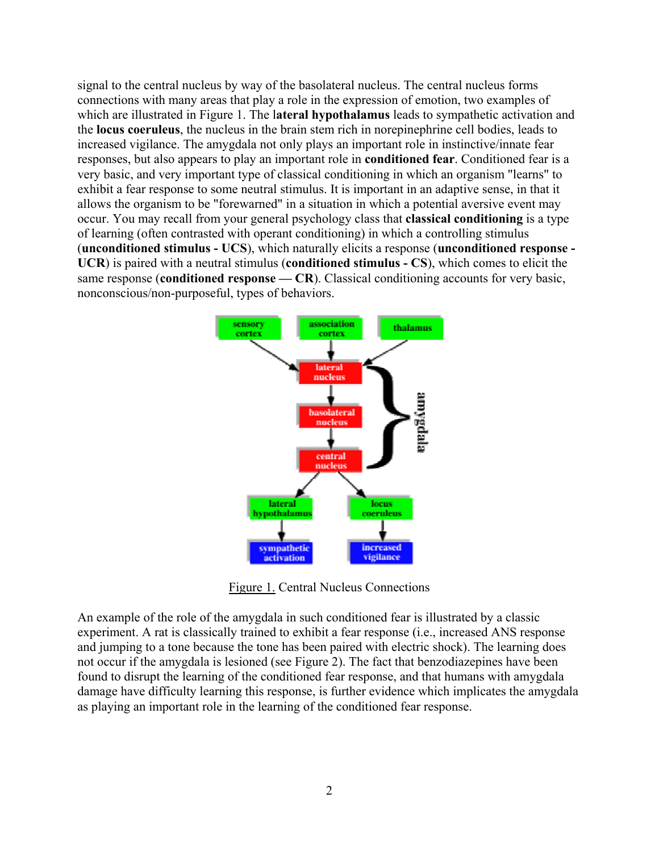signal to the central nucleus by way of the basolateral nucleus. The central nucleus forms connections with many areas that play a role in the expression of emotion, two examples of which are illustrated in Figure 1. The l**ateral hypothalamus** leads to sympathetic activation and the **locus coeruleus**, the nucleus in the brain stem rich in norepinephrine cell bodies, leads to increased vigilance. The amygdala not only plays an important role in instinctive/innate fear responses, but also appears to play an important role in **conditioned fear**. Conditioned fear is a very basic, and very important type of classical conditioning in which an organism "learns" to exhibit a fear response to some neutral stimulus. It is important in an adaptive sense, in that it allows the organism to be "forewarned" in a situation in which a potential aversive event may occur. You may recall from your general psychology class that **classical conditioning** is a type of learning (often contrasted with operant conditioning) in which a controlling stimulus (**unconditioned stimulus - UCS**), which naturally elicits a response (**unconditioned response - UCR**) is paired with a neutral stimulus (**conditioned stimulus - CS**), which comes to elicit the same response (**conditioned response** — CR). Classical conditioning accounts for very basic, nonconscious/non-purposeful, types of behaviors.



Figure 1. Central Nucleus Connections

An example of the role of the amygdala in such conditioned fear is illustrated by a classic experiment. A rat is classically trained to exhibit a fear response (i.e., increased ANS response and jumping to a tone because the tone has been paired with electric shock). The learning does not occur if the amygdala is lesioned (see Figure 2). The fact that benzodiazepines have been found to disrupt the learning of the conditioned fear response, and that humans with amygdala damage have difficulty learning this response, is further evidence which implicates the amygdala as playing an important role in the learning of the conditioned fear response.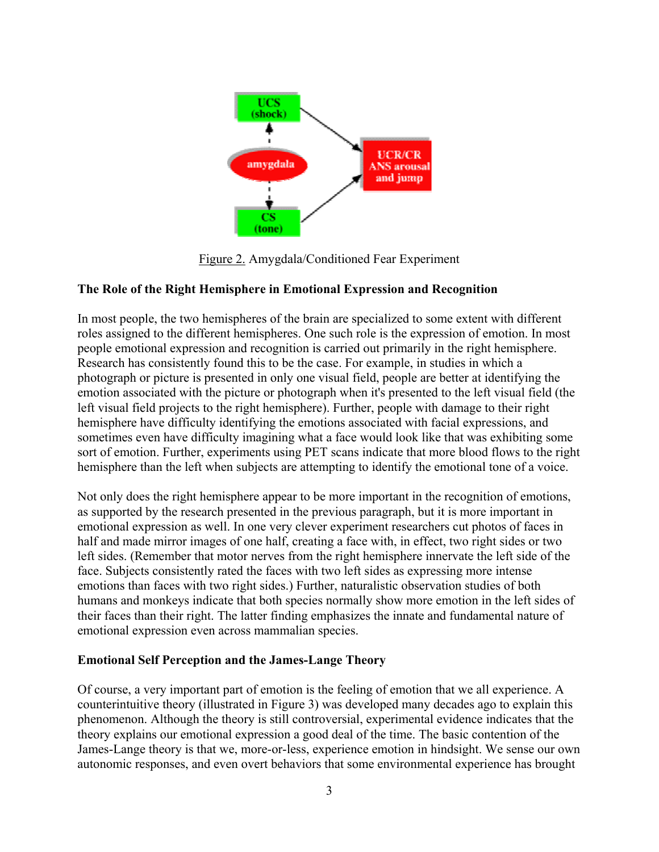

Figure 2. Amygdala/Conditioned Fear Experiment

## **The Role of the Right Hemisphere in Emotional Expression and Recognition**

In most people, the two hemispheres of the brain are specialized to some extent with different roles assigned to the different hemispheres. One such role is the expression of emotion. In most people emotional expression and recognition is carried out primarily in the right hemisphere. Research has consistently found this to be the case. For example, in studies in which a photograph or picture is presented in only one visual field, people are better at identifying the emotion associated with the picture or photograph when it's presented to the left visual field (the left visual field projects to the right hemisphere). Further, people with damage to their right hemisphere have difficulty identifying the emotions associated with facial expressions, and sometimes even have difficulty imagining what a face would look like that was exhibiting some sort of emotion. Further, experiments using PET scans indicate that more blood flows to the right hemisphere than the left when subjects are attempting to identify the emotional tone of a voice.

Not only does the right hemisphere appear to be more important in the recognition of emotions, as supported by the research presented in the previous paragraph, but it is more important in emotional expression as well. In one very clever experiment researchers cut photos of faces in half and made mirror images of one half, creating a face with, in effect, two right sides or two left sides. (Remember that motor nerves from the right hemisphere innervate the left side of the face. Subjects consistently rated the faces with two left sides as expressing more intense emotions than faces with two right sides.) Further, naturalistic observation studies of both humans and monkeys indicate that both species normally show more emotion in the left sides of their faces than their right. The latter finding emphasizes the innate and fundamental nature of emotional expression even across mammalian species.

### **Emotional Self Perception and the James-Lange Theory**

Of course, a very important part of emotion is the feeling of emotion that we all experience. A counterintuitive theory (illustrated in Figure 3) was developed many decades ago to explain this phenomenon. Although the theory is still controversial, experimental evidence indicates that the theory explains our emotional expression a good deal of the time. The basic contention of the James-Lange theory is that we, more-or-less, experience emotion in hindsight. We sense our own autonomic responses, and even overt behaviors that some environmental experience has brought